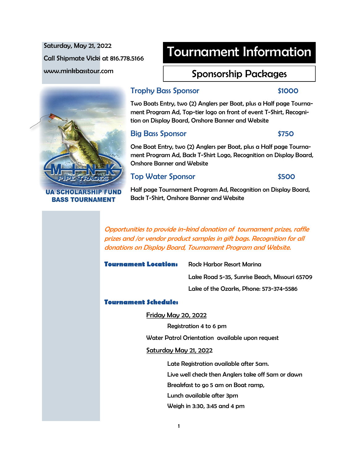Saturday, May 21, 2022 Call Shipmate Vicki at 816.778.5166 www.minkbasstour.com

# Tournament Information

# Sponsorship Packages



UA SCHOLARSHIP FUN **BASS TOURNAMENT** 

### Trophy Bass Sponsor \$1000

Two Boats Entry, two (2) Anglers per Boat, plus a Half page Tournament Program Ad, Top-tier logo on front of event T-Shirt, Recognition on Display Board, Onshore Banner and Website

## Big Bass Sponsor **\$750**

One Boat Entry, two (2) Anglers per Boat, plus a Half page Tournament Program Ad, Back T-Shirt Logo, Recognition on Display Board, Onshore Banner and Website

# Top Water Sponsor **\$500**

Half page Tournament Program Ad, Recognition on Display Board, Back T-Shirt, Onshore Banner and Website

Opportunities to provide in-kind donation of tournament prizes, raffle prizes and /or vendor product samples in gift bags. Recognition for all donations on Display Board, Tournament Program and Website.

### **Tournament Location:** Rock Harbor Resort Marina

Lake Road 5-35, Sunrise Beach, Missouri 65709 Lake of the Ozarks, Phone: 573-374-5586

### **Tournament Schedule:**

Friday May 20, 2022

Registration 4 to 6 pm

Water Patrol Orientation available upon request

### Saturday May 21, 2022

Late Registration available after 5am. Live well check then Anglers take off 5am or dawn Breakfast to go 5 am on Boat ramp, Lunch available after 3pm Weigh in 3:30, 3:45 and 4 pm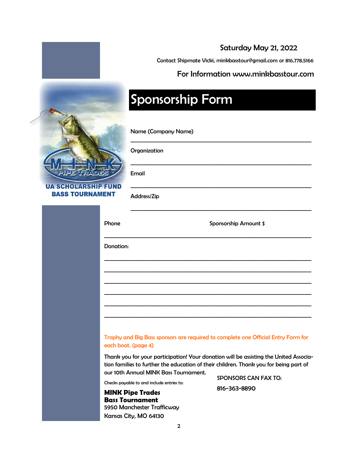# Saturday May 21, 2022

Contact Shipmate Vicki, minkbasstour@gmail.com or 816.778.5166

\_\_\_\_\_\_\_\_\_\_\_\_\_\_\_\_\_\_\_\_\_\_\_\_\_\_\_\_\_\_\_\_\_\_\_\_\_\_\_\_\_\_\_\_\_\_\_\_\_\_\_\_\_\_\_\_\_\_\_\_\_\_\_\_\_\_\_\_\_

\_\_\_\_\_\_\_\_\_\_\_\_\_\_\_\_\_\_\_\_\_\_\_\_\_\_\_\_\_\_\_\_\_\_\_\_\_\_\_\_\_\_\_\_\_\_\_\_\_\_\_\_\_\_\_\_\_\_\_\_\_\_\_\_\_\_\_\_\_

\_\_\_\_\_\_\_\_\_\_\_\_\_\_\_\_\_\_\_\_\_\_\_\_\_\_\_\_\_\_\_\_\_\_\_\_\_\_\_\_\_\_\_\_\_\_\_\_\_\_\_\_\_\_\_\_\_\_\_\_\_\_\_\_\_\_\_\_\_

### For Information www.minkbasstour.com

# Sponsorship Form

Name (Company Name)

### Organization

Email

**UA SCHOLARSHIP** 

| <b>BASS TOURNAMENT</b> |           | Address/Zip                                                                       |  |  |  |  |
|------------------------|-----------|-----------------------------------------------------------------------------------|--|--|--|--|
|                        | Phone     | <b>Sponsorship Amount \$</b>                                                      |  |  |  |  |
|                        | Donation: |                                                                                   |  |  |  |  |
|                        |           |                                                                                   |  |  |  |  |
|                        |           |                                                                                   |  |  |  |  |
|                        |           |                                                                                   |  |  |  |  |
|                        |           |                                                                                   |  |  |  |  |
|                        |           | Trophy and Big Bass sponsors are required to complete one Official Entry Form for |  |  |  |  |

Trophy and Big Bass sponsors are required to complete one Official Entry Form for each boat. (page 4)

Thank you for your participation! Your donation will be assisting the United Association families to further the education of their children. Thank you for being part of our 10th Annual MINK Bass Tournament.

Checks payable to and include entries to:

**MINK Pipe Trades Bass Tournament** 5950 Manchester Trafficway Kansas City, MO 64130

SPONSORS CAN FAX TO: 816-363-8890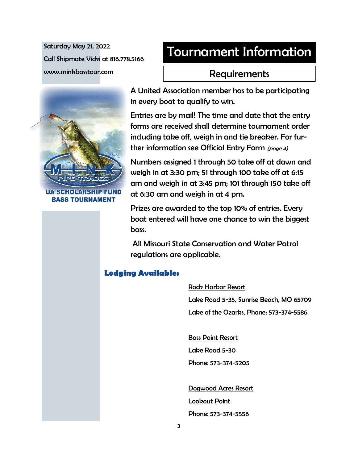Saturday May 21, 2022 Call Shipmate Vicki at 816.778.5166 www.minkbasstour.com

# Tournament Information

# Requirements



SCHOLARSHIP E **BASS TOURNAMENT**  A United Association member has to be participating in every boat to qualify to win.

Entries are by mail! The time and date that the entry forms are received shall determine tournament order including take off, weigh in and tie breaker. For further information see Official Entry Form (page 4)

Numbers assigned 1 through 50 take off at dawn and weigh in at 3:30 pm; 51 through 100 take off at 6:15 am and weigh in at 3:45 pm; 101 through 150 take off at 6:30 am and weigh in at 4 pm.

Prizes are awarded to the top 10% of entries. Every boat entered will have one chance to win the biggest bass.

All Missouri State Conservation and Water Patrol regulations are applicable.

# **Lodging Available:**

Rock Harbor Resort

Lake Road 5-35, Sunrise Beach, MO 65709 Lake of the Ozarks, Phone: 573-374-5586

Bass Point Resort Lake Road 5-30 Phone: 573-374-5205

Dogwood Acres Resort Lookout Point Phone: 573-374-5556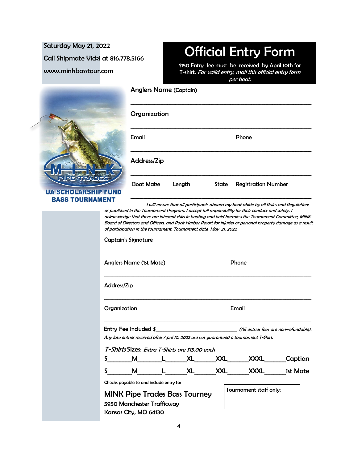Saturday May 21, 2022 Call Shipmate Vicki at 816.778.5166 www.minkbasstour.com

# Official Entry Form

\$150 Entry fee must be received by April 10th for T-shirt. For valid entry, mail this official entry form per boat.

\_\_\_\_\_\_\_\_\_\_\_\_\_\_\_\_\_\_\_\_\_\_\_\_\_\_\_\_\_\_\_\_\_\_\_\_\_\_\_\_\_\_\_\_\_\_\_\_\_\_\_\_\_\_\_\_\_\_\_\_\_\_\_\_\_\_\_\_\_

\_\_\_\_\_\_\_\_\_\_\_\_\_\_\_\_\_\_\_\_\_\_\_\_\_\_\_\_\_\_\_\_\_\_\_\_\_\_\_\_\_\_\_\_\_\_\_\_\_\_\_\_\_\_\_\_\_\_\_\_\_\_\_\_\_\_\_\_\_

Email **Email** Phone



**UA SCHOLAI BASS TOUI** 

|              | <b>Address/Zip</b>                                                                                                                                                                                                                                                                                                                                                                                                              |          |            |                                                                                       |                                        |  |
|--------------|---------------------------------------------------------------------------------------------------------------------------------------------------------------------------------------------------------------------------------------------------------------------------------------------------------------------------------------------------------------------------------------------------------------------------------|----------|------------|---------------------------------------------------------------------------------------|----------------------------------------|--|
|              | <b>Boat Make</b>                                                                                                                                                                                                                                                                                                                                                                                                                | Length   | State      | <b>Registration Number</b>                                                            |                                        |  |
|              | as published in the Tournament Program. I accept full responsibility for their conduct and safety. I<br>acknowledge that there are inherent risks in boating and hold harmless the Tournament Committee, MINK<br>Board of Directors and Officers, and Rock Harbor Resort for injuries or personal property damage as a result<br>of participation in the tournament. Tournament date May 21, 2022<br><b>Captain's Signature</b> |          |            | I will ensure that all participants aboard my boat abide by all Rules and Regulations |                                        |  |
|              | <b>Anglers Name (1st Mate)</b>                                                                                                                                                                                                                                                                                                                                                                                                  |          | Phone      |                                                                                       |                                        |  |
| Address/Zip  |                                                                                                                                                                                                                                                                                                                                                                                                                                 |          |            |                                                                                       |                                        |  |
| Organization |                                                                                                                                                                                                                                                                                                                                                                                                                                 |          | Email      |                                                                                       |                                        |  |
|              | Entry Fee Included \$<br>Any late entries received after April 10, 2022 are not guaranteed a tournament T-Shirt.                                                                                                                                                                                                                                                                                                                |          |            |                                                                                       | (All entries fees are non-refundable). |  |
|              | T-Shirts Sizes: Extra T-Shirts are \$15.00 each                                                                                                                                                                                                                                                                                                                                                                                 |          | <b>XXL</b> |                                                                                       | XXXL Captian                           |  |
| S.           | M<br>Checks payable to and include entry to:                                                                                                                                                                                                                                                                                                                                                                                    | L XL XXL |            | <b>XXXL</b>                                                                           | 1st Mate                               |  |
|              | <b>MINK Pipe Trades Bass Tourney</b><br>5950 Manchester Trafficway<br>Kansas City, MO 64130                                                                                                                                                                                                                                                                                                                                     |          |            | Tournament staff only:                                                                |                                        |  |

Anglers Name (Captain)

**Organization**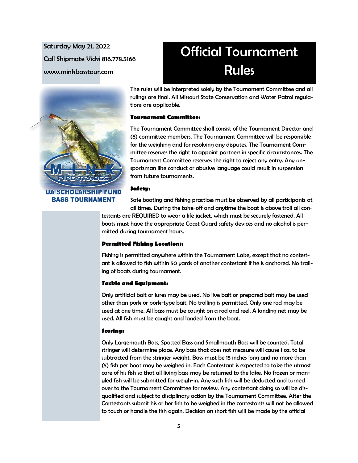Saturday May 21, 2022 Call Shipmate Vicki 816.778.5166 www.minkbasstour.com



**UA SCHOLARSHIP FUND BASS TOURNAMENT** 

# Official Tournament Rules

The rules will be interpreted solely by the Tournament Committee and all rulings are final. All Missouri State Conservation and Water Patrol regulations are applicable.

#### **Tournament Committee:**

The Tournament Committee shall consist of the Tournament Director and (6) committee members. The Tournament Committee will be responsible for the weighing and for resolving any disputes. The Tournament Committee reserves the right to appoint partners in specific circumstances. The Tournament Committee reserves the right to reject any entry. Any unsportsman like conduct or abusive language could result in suspension from future tournaments.

#### **Safety:**

Safe boating and fishing practices must be observed by all participants at all times. During the take-off and anytime the boat is above troll all con-

testants are REQUIRED to wear a life jacket, which must be securely fastened. All boats must have the appropriate Coast Guard safety devices and no alcohol is permitted during tournament hours.

#### **Permitted Fishing Locations:**

Fishing is permitted anywhere within the Tournament Lake, except that no contestant is allowed to fish within 50 yards of another contestant if he is anchored. No trailing of boats during tournament.

#### **Tackle and Equipment:**

Only artificial bait or lures may be used. No live bait or prepared bait may be used other than pork or pork-type bait. No trolling is permitted. Only one rod may be used at one time. All bass must be caught on a rod and reel. A landing net may be used. All fish must be caught and landed from the boat.

#### **Scoring:**

Only Largemouth Bass, Spotted Bass and Smallmouth Bass will be counted. Total stringer will determine place. Any bass that does not measure will cause 1 oz. to be subtracted from the stringer weight. Bass must be 15 inches long and no more than (5) fish per boat may be weighed in. Each Contestant is expected to take the utmost care of his fish so that all living bass may be returned to the lake. No frozen or mangled fish will be submitted for weigh-in. Any such fish will be deducted and turned over to the Tournament Committee for review. Any contestant doing so will be disqualified and subject to disciplinary action by the Tournament Committee. After the Contestants submit his or her fish to be weighed in the contestants will not be allowed to touch or handle the fish again. Decision on short fish will be made by the official